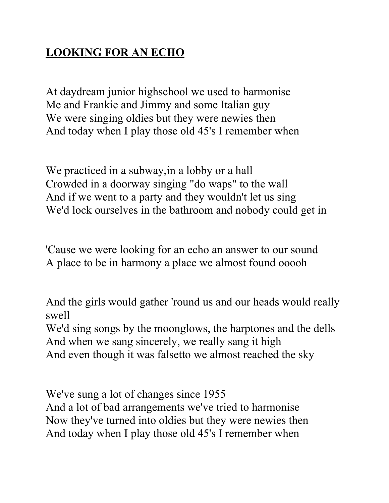## **LOOKING FOR AN ECHO**

At daydream junior highschool we used to harmonise Me and Frankie and Jimmy and some Italian guy We were singing oldies but they were newies then And today when I play those old 45's I remember when

We practiced in a subway,in a lobby or a hall Crowded in a doorway singing "do waps" to the wall And if we went to a party and they wouldn't let us sing We'd lock ourselves in the bathroom and nobody could get in

'Cause we were looking for an echo an answer to our sound A place to be in harmony a place we almost found ooooh

And the girls would gather 'round us and our heads would really swell

We'd sing songs by the moonglows, the harptones and the dells And when we sang sincerely, we really sang it high And even though it was falsetto we almost reached the sky

We've sung a lot of changes since 1955

And a lot of bad arrangements we've tried to harmonise Now they've turned into oldies but they were newies then And today when I play those old 45's I remember when